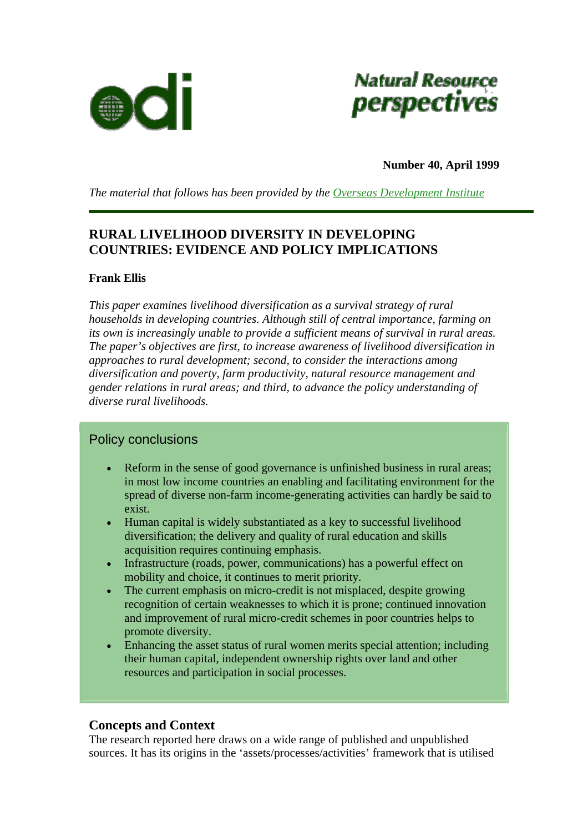



**Number 40, April 1999** 

*The material that follows has been provided by the [Overseas Development Institute](http://www.odi.org.uk/index.html)*

# **RURAL LIVELIHOOD DIVERSITY IN DEVELOPING COUNTRIES: EVIDENCE AND POLICY IMPLICATIONS**

#### **Frank Ellis**

*This paper examines livelihood diversification as a survival strategy of rural households in developing countries. Although still of central importance, farming on its own is increasingly unable to provide a sufficient means of survival in rural areas. The paper's objectives are first, to increase awareness of livelihood diversification in approaches to rural development; second, to consider the interactions among diversification and poverty, farm productivity, natural resource management and gender relations in rural areas; and third, to advance the policy understanding of diverse rural livelihoods.* 

# Policy conclusions

- Reform in the sense of good governance is unfinished business in rural areas; in most low income countries an enabling and facilitating environment for the spread of diverse non-farm income-generating activities can hardly be said to exist.
- Human capital is widely substantiated as a key to successful livelihood diversification; the delivery and quality of rural education and skills acquisition requires continuing emphasis.
- Infrastructure (roads, power, communications) has a powerful effect on mobility and choice, it continues to merit priority.
- The current emphasis on micro-credit is not misplaced, despite growing recognition of certain weaknesses to which it is prone; continued innovation and improvement of rural micro-credit schemes in poor countries helps to promote diversity.
- Enhancing the asset status of rural women merits special attention; including their human capital, independent ownership rights over land and other resources and participation in social processes.

# **Concepts and Context**

The research reported here draws on a wide range of published and unpublished sources. It has its origins in the 'assets/processes/activities' framework that is utilised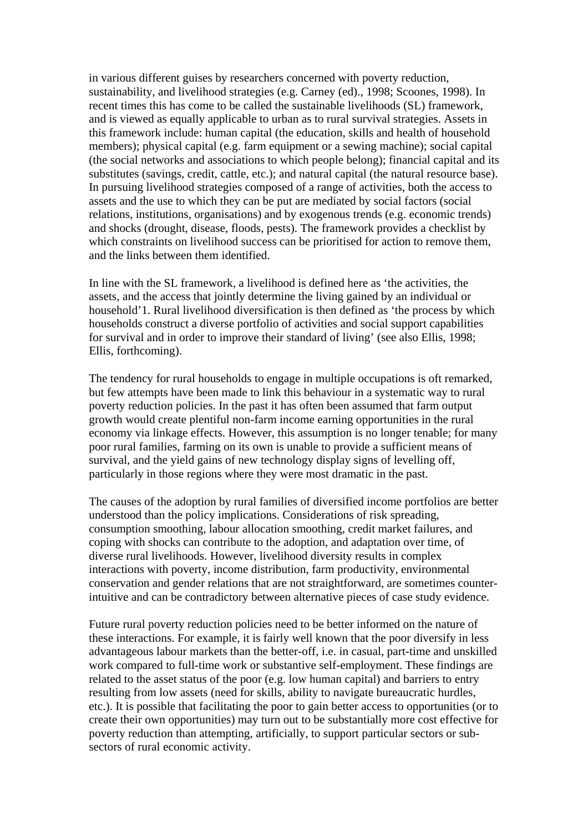in various different guises by researchers concerned with poverty reduction, sustainability, and livelihood strategies (e.g. Carney (ed)., 1998; Scoones, 1998). In recent times this has come to be called the sustainable livelihoods (SL) framework, and is viewed as equally applicable to urban as to rural survival strategies. Assets in this framework include: human capital (the education, skills and health of household members); physical capital (e.g. farm equipment or a sewing machine); social capital (the social networks and associations to which people belong); financial capital and its substitutes (savings, credit, cattle, etc.); and natural capital (the natural resource base). In pursuing livelihood strategies composed of a range of activities, both the access to assets and the use to which they can be put are mediated by social factors (social relations, institutions, organisations) and by exogenous trends (e.g. economic trends) and shocks (drought, disease, floods, pests). The framework provides a checklist by which constraints on livelihood success can be prioritised for action to remove them, and the links between them identified.

In line with the SL framework, a livelihood is defined here as 'the activities, the assets, and the access that jointly determine the living gained by an individual or household'1. Rural livelihood diversification is then defined as 'the process by which households construct a diverse portfolio of activities and social support capabilities for survival and in order to improve their standard of living' (see also Ellis, 1998; Ellis, forthcoming).

The tendency for rural households to engage in multiple occupations is oft remarked, but few attempts have been made to link this behaviour in a systematic way to rural poverty reduction policies. In the past it has often been assumed that farm output growth would create plentiful non-farm income earning opportunities in the rural economy via linkage effects. However, this assumption is no longer tenable; for many poor rural families, farming on its own is unable to provide a sufficient means of survival, and the yield gains of new technology display signs of levelling off, particularly in those regions where they were most dramatic in the past.

The causes of the adoption by rural families of diversified income portfolios are better understood than the policy implications. Considerations of risk spreading, consumption smoothing, labour allocation smoothing, credit market failures, and coping with shocks can contribute to the adoption, and adaptation over time, of diverse rural livelihoods. However, livelihood diversity results in complex interactions with poverty, income distribution, farm productivity, environmental conservation and gender relations that are not straightforward, are sometimes counterintuitive and can be contradictory between alternative pieces of case study evidence.

Future rural poverty reduction policies need to be better informed on the nature of these interactions. For example, it is fairly well known that the poor diversify in less advantageous labour markets than the better-off, i.e. in casual, part-time and unskilled work compared to full-time work or substantive self-employment. These findings are related to the asset status of the poor (e.g. low human capital) and barriers to entry resulting from low assets (need for skills, ability to navigate bureaucratic hurdles, etc.). It is possible that facilitating the poor to gain better access to opportunities (or to create their own opportunities) may turn out to be substantially more cost effective for poverty reduction than attempting, artificially, to support particular sectors or subsectors of rural economic activity.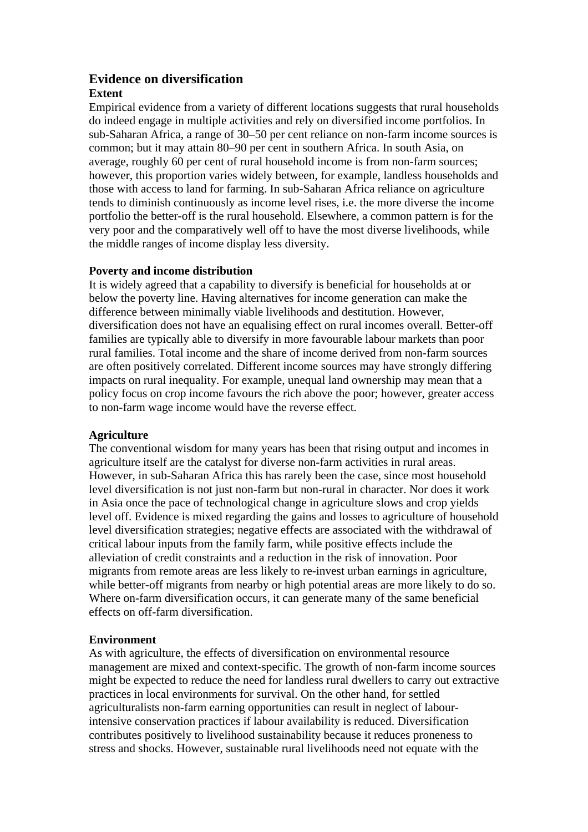# **Evidence on diversification**

# **Extent**

Empirical evidence from a variety of different locations suggests that rural households do indeed engage in multiple activities and rely on diversified income portfolios. In sub-Saharan Africa, a range of 30–50 per cent reliance on non-farm income sources is common; but it may attain 80–90 per cent in southern Africa. In south Asia, on average, roughly 60 per cent of rural household income is from non-farm sources; however, this proportion varies widely between, for example, landless households and those with access to land for farming. In sub-Saharan Africa reliance on agriculture tends to diminish continuously as income level rises, i.e. the more diverse the income portfolio the better-off is the rural household. Elsewhere, a common pattern is for the very poor and the comparatively well off to have the most diverse livelihoods, while the middle ranges of income display less diversity.

# **Poverty and income distribution**

It is widely agreed that a capability to diversify is beneficial for households at or below the poverty line. Having alternatives for income generation can make the difference between minimally viable livelihoods and destitution. However, diversification does not have an equalising effect on rural incomes overall. Better-off families are typically able to diversify in more favourable labour markets than poor rural families. Total income and the share of income derived from non-farm sources are often positively correlated. Different income sources may have strongly differing impacts on rural inequality. For example, unequal land ownership may mean that a policy focus on crop income favours the rich above the poor; however, greater access to non-farm wage income would have the reverse effect.

# **Agriculture**

The conventional wisdom for many years has been that rising output and incomes in agriculture itself are the catalyst for diverse non-farm activities in rural areas. However, in sub-Saharan Africa this has rarely been the case, since most household level diversification is not just non-farm but non-rural in character. Nor does it work in Asia once the pace of technological change in agriculture slows and crop yields level off. Evidence is mixed regarding the gains and losses to agriculture of household level diversification strategies; negative effects are associated with the withdrawal of critical labour inputs from the family farm, while positive effects include the alleviation of credit constraints and a reduction in the risk of innovation. Poor migrants from remote areas are less likely to re-invest urban earnings in agriculture, while better-off migrants from nearby or high potential areas are more likely to do so. Where on-farm diversification occurs, it can generate many of the same beneficial effects on off-farm diversification.

# **Environment**

As with agriculture, the effects of diversification on environmental resource management are mixed and context-specific. The growth of non-farm income sources might be expected to reduce the need for landless rural dwellers to carry out extractive practices in local environments for survival. On the other hand, for settled agriculturalists non-farm earning opportunities can result in neglect of labourintensive conservation practices if labour availability is reduced. Diversification contributes positively to livelihood sustainability because it reduces proneness to stress and shocks. However, sustainable rural livelihoods need not equate with the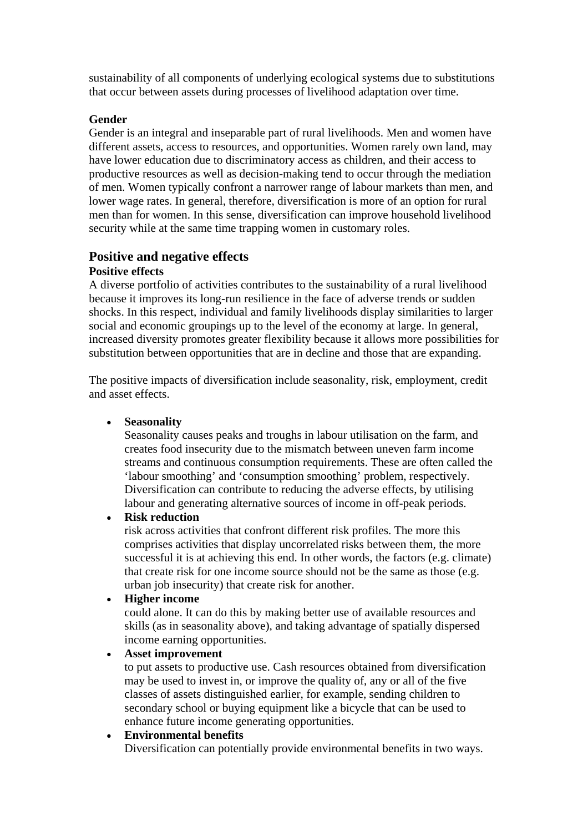sustainability of all components of underlying ecological systems due to substitutions that occur between assets during processes of livelihood adaptation over time.

#### **Gender**

Gender is an integral and inseparable part of rural livelihoods. Men and women have different assets, access to resources, and opportunities. Women rarely own land, may have lower education due to discriminatory access as children, and their access to productive resources as well as decision-making tend to occur through the mediation of men. Women typically confront a narrower range of labour markets than men, and lower wage rates. In general, therefore, diversification is more of an option for rural men than for women. In this sense, diversification can improve household livelihood security while at the same time trapping women in customary roles.

#### **Positive and negative effects Positive effects**

A diverse portfolio of activities contributes to the sustainability of a rural livelihood because it improves its long-run resilience in the face of adverse trends or sudden shocks. In this respect, individual and family livelihoods display similarities to larger social and economic groupings up to the level of the economy at large. In general, increased diversity promotes greater flexibility because it allows more possibilities for substitution between opportunities that are in decline and those that are expanding.

The positive impacts of diversification include seasonality, risk, employment, credit and asset effects.

• **Seasonality**

Seasonality causes peaks and troughs in labour utilisation on the farm, and creates food insecurity due to the mismatch between uneven farm income streams and continuous consumption requirements. These are often called the 'labour smoothing' and 'consumption smoothing' problem, respectively. Diversification can contribute to reducing the adverse effects, by utilising labour and generating alternative sources of income in off-peak periods.

# • **Risk reduction**

risk across activities that confront different risk profiles. The more this comprises activities that display uncorrelated risks between them, the more successful it is at achieving this end. In other words, the factors (e.g. climate) that create risk for one income source should not be the same as those (e.g. urban job insecurity) that create risk for another.

#### • **Higher income**

could alone. It can do this by making better use of available resources and skills (as in seasonality above), and taking advantage of spatially dispersed income earning opportunities.

• **Asset improvement**

to put assets to productive use. Cash resources obtained from diversification may be used to invest in, or improve the quality of, any or all of the five classes of assets distinguished earlier, for example, sending children to secondary school or buying equipment like a bicycle that can be used to enhance future income generating opportunities.

# • **Environmental benefits**

Diversification can potentially provide environmental benefits in two ways.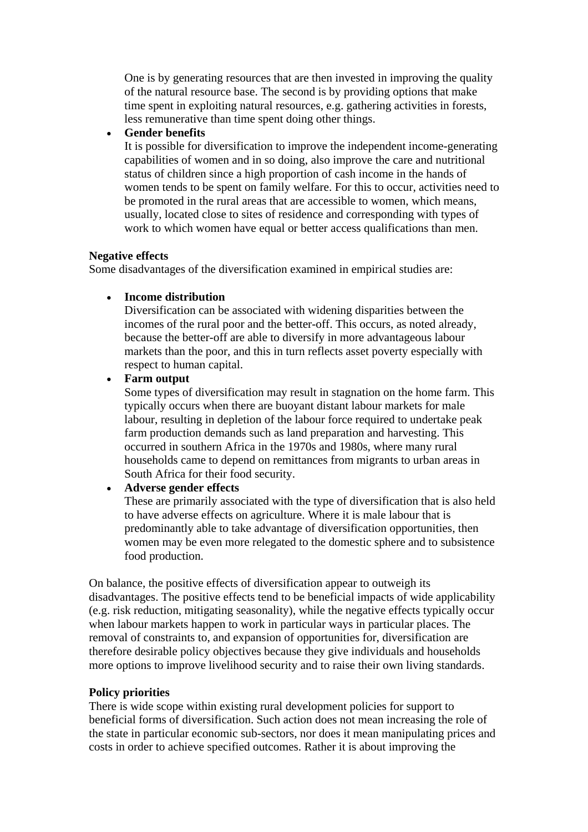One is by generating resources that are then invested in improving the quality of the natural resource base. The second is by providing options that make time spent in exploiting natural resources, e.g. gathering activities in forests, less remunerative than time spent doing other things.

• **Gender benefits**

It is possible for diversification to improve the independent income-generating capabilities of women and in so doing, also improve the care and nutritional status of children since a high proportion of cash income in the hands of women tends to be spent on family welfare. For this to occur, activities need to be promoted in the rural areas that are accessible to women, which means, usually, located close to sites of residence and corresponding with types of work to which women have equal or better access qualifications than men.

#### **Negative effects**

Some disadvantages of the diversification examined in empirical studies are:

#### • **Income distribution**

Diversification can be associated with widening disparities between the incomes of the rural poor and the better-off. This occurs, as noted already, because the better-off are able to diversify in more advantageous labour markets than the poor, and this in turn reflects asset poverty especially with respect to human capital.

• **Farm output**

Some types of diversification may result in stagnation on the home farm. This typically occurs when there are buoyant distant labour markets for male labour, resulting in depletion of the labour force required to undertake peak farm production demands such as land preparation and harvesting. This occurred in southern Africa in the 1970s and 1980s, where many rural households came to depend on remittances from migrants to urban areas in South Africa for their food security.

# • **Adverse gender effects**

These are primarily associated with the type of diversification that is also held to have adverse effects on agriculture. Where it is male labour that is predominantly able to take advantage of diversification opportunities, then women may be even more relegated to the domestic sphere and to subsistence food production.

On balance, the positive effects of diversification appear to outweigh its disadvantages. The positive effects tend to be beneficial impacts of wide applicability (e.g. risk reduction, mitigating seasonality), while the negative effects typically occur when labour markets happen to work in particular ways in particular places. The removal of constraints to, and expansion of opportunities for, diversification are therefore desirable policy objectives because they give individuals and households more options to improve livelihood security and to raise their own living standards.

# **Policy priorities**

There is wide scope within existing rural development policies for support to beneficial forms of diversification. Such action does not mean increasing the role of the state in particular economic sub-sectors, nor does it mean manipulating prices and costs in order to achieve specified outcomes. Rather it is about improving the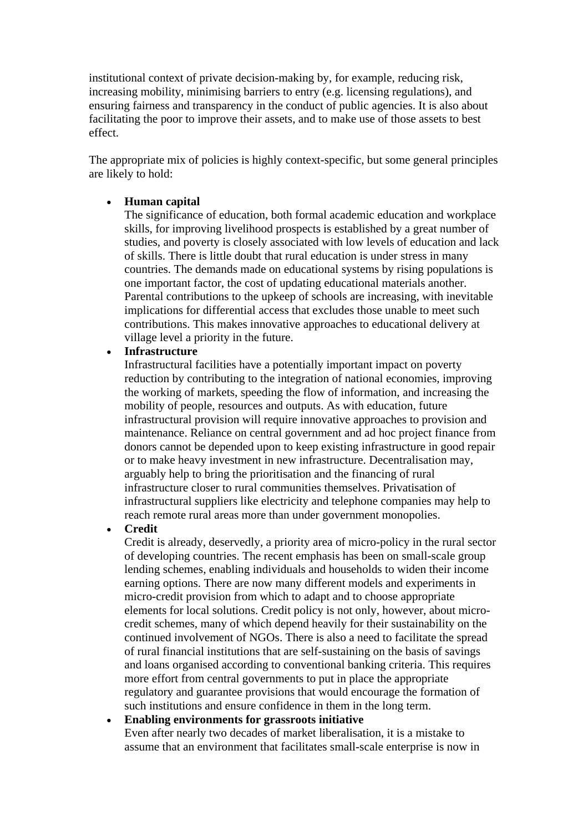institutional context of private decision-making by, for example, reducing risk, increasing mobility, minimising barriers to entry (e.g. licensing regulations), and ensuring fairness and transparency in the conduct of public agencies. It is also about facilitating the poor to improve their assets, and to make use of those assets to best effect.

The appropriate mix of policies is highly context-specific, but some general principles are likely to hold:

#### • **Human capital**

The significance of education, both formal academic education and workplace skills, for improving livelihood prospects is established by a great number of studies, and poverty is closely associated with low levels of education and lack of skills. There is little doubt that rural education is under stress in many countries. The demands made on educational systems by rising populations is one important factor, the cost of updating educational materials another. Parental contributions to the upkeep of schools are increasing, with inevitable implications for differential access that excludes those unable to meet such contributions. This makes innovative approaches to educational delivery at village level a priority in the future.

# • **Infrastructure**

Infrastructural facilities have a potentially important impact on poverty reduction by contributing to the integration of national economies, improving the working of markets, speeding the flow of information, and increasing the mobility of people, resources and outputs. As with education, future infrastructural provision will require innovative approaches to provision and maintenance. Reliance on central government and ad hoc project finance from donors cannot be depended upon to keep existing infrastructure in good repair or to make heavy investment in new infrastructure. Decentralisation may, arguably help to bring the prioritisation and the financing of rural infrastructure closer to rural communities themselves. Privatisation of infrastructural suppliers like electricity and telephone companies may help to reach remote rural areas more than under government monopolies.

#### • **Credit**

Credit is already, deservedly, a priority area of micro-policy in the rural sector of developing countries. The recent emphasis has been on small-scale group lending schemes, enabling individuals and households to widen their income earning options. There are now many different models and experiments in micro-credit provision from which to adapt and to choose appropriate elements for local solutions. Credit policy is not only, however, about microcredit schemes, many of which depend heavily for their sustainability on the continued involvement of NGOs. There is also a need to facilitate the spread of rural financial institutions that are self-sustaining on the basis of savings and loans organised according to conventional banking criteria. This requires more effort from central governments to put in place the appropriate regulatory and guarantee provisions that would encourage the formation of such institutions and ensure confidence in them in the long term.

#### • **Enabling environments for grassroots initiative**

Even after nearly two decades of market liberalisation, it is a mistake to assume that an environment that facilitates small-scale enterprise is now in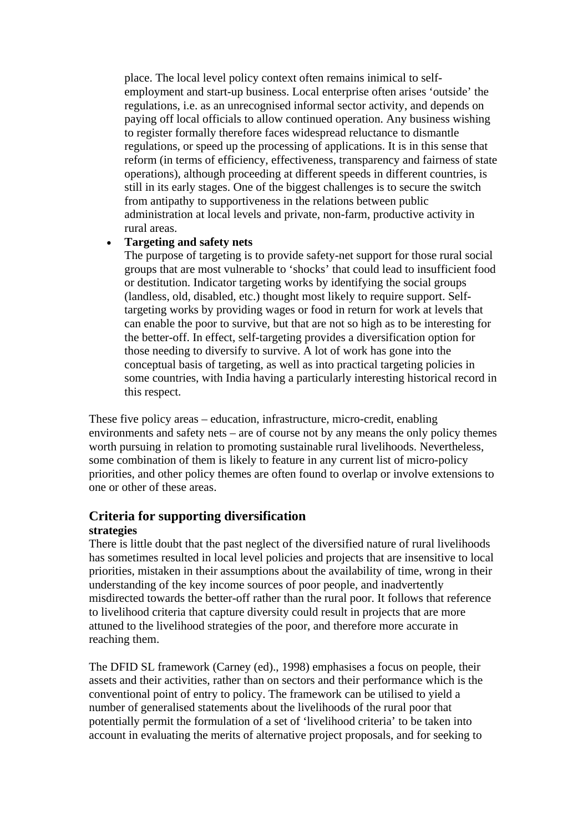place. The local level policy context often remains inimical to selfemployment and start-up business. Local enterprise often arises 'outside' the regulations, i.e. as an unrecognised informal sector activity, and depends on paying off local officials to allow continued operation. Any business wishing to register formally therefore faces widespread reluctance to dismantle regulations, or speed up the processing of applications. It is in this sense that reform (in terms of efficiency, effectiveness, transparency and fairness of state operations), although proceeding at different speeds in different countries, is still in its early stages. One of the biggest challenges is to secure the switch from antipathy to supportiveness in the relations between public administration at local levels and private, non-farm, productive activity in rural areas.

#### • **Targeting and safety nets**

The purpose of targeting is to provide safety-net support for those rural social groups that are most vulnerable to 'shocks' that could lead to insufficient food or destitution. Indicator targeting works by identifying the social groups (landless, old, disabled, etc.) thought most likely to require support. Selftargeting works by providing wages or food in return for work at levels that can enable the poor to survive, but that are not so high as to be interesting for the better-off. In effect, self-targeting provides a diversification option for those needing to diversify to survive. A lot of work has gone into the conceptual basis of targeting, as well as into practical targeting policies in some countries, with India having a particularly interesting historical record in this respect.

These five policy areas – education, infrastructure, micro-credit, enabling environments and safety nets – are of course not by any means the only policy themes worth pursuing in relation to promoting sustainable rural livelihoods. Nevertheless, some combination of them is likely to feature in any current list of micro-policy priorities, and other policy themes are often found to overlap or involve extensions to one or other of these areas.

# **Criteria for supporting diversification**

#### **strategies**

There is little doubt that the past neglect of the diversified nature of rural livelihoods has sometimes resulted in local level policies and projects that are insensitive to local priorities, mistaken in their assumptions about the availability of time, wrong in their understanding of the key income sources of poor people, and inadvertently misdirected towards the better-off rather than the rural poor. It follows that reference to livelihood criteria that capture diversity could result in projects that are more attuned to the livelihood strategies of the poor, and therefore more accurate in reaching them.

The DFID SL framework (Carney (ed)., 1998) emphasises a focus on people, their assets and their activities, rather than on sectors and their performance which is the conventional point of entry to policy. The framework can be utilised to yield a number of generalised statements about the livelihoods of the rural poor that potentially permit the formulation of a set of 'livelihood criteria' to be taken into account in evaluating the merits of alternative project proposals, and for seeking to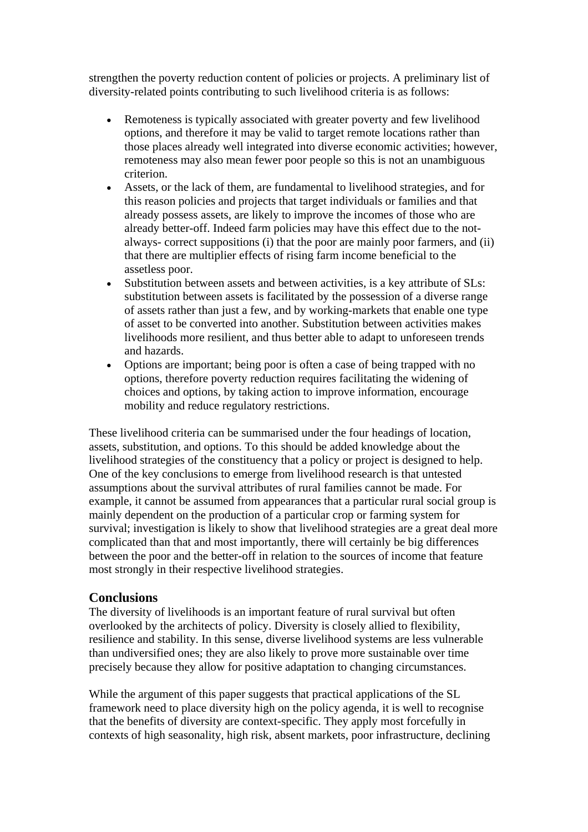strengthen the poverty reduction content of policies or projects. A preliminary list of diversity-related points contributing to such livelihood criteria is as follows:

- Remoteness is typically associated with greater poverty and few livelihood options, and therefore it may be valid to target remote locations rather than those places already well integrated into diverse economic activities; however, remoteness may also mean fewer poor people so this is not an unambiguous criterion.
- Assets, or the lack of them, are fundamental to livelihood strategies, and for this reason policies and projects that target individuals or families and that already possess assets, are likely to improve the incomes of those who are already better-off. Indeed farm policies may have this effect due to the notalways- correct suppositions (i) that the poor are mainly poor farmers, and (ii) that there are multiplier effects of rising farm income beneficial to the assetless poor.
- Substitution between assets and between activities, is a key attribute of SLs: substitution between assets is facilitated by the possession of a diverse range of assets rather than just a few, and by working-markets that enable one type of asset to be converted into another. Substitution between activities makes livelihoods more resilient, and thus better able to adapt to unforeseen trends and hazards.
- Options are important; being poor is often a case of being trapped with no options, therefore poverty reduction requires facilitating the widening of choices and options, by taking action to improve information, encourage mobility and reduce regulatory restrictions.

These livelihood criteria can be summarised under the four headings of location, assets, substitution, and options. To this should be added knowledge about the livelihood strategies of the constituency that a policy or project is designed to help. One of the key conclusions to emerge from livelihood research is that untested assumptions about the survival attributes of rural families cannot be made. For example, it cannot be assumed from appearances that a particular rural social group is mainly dependent on the production of a particular crop or farming system for survival; investigation is likely to show that livelihood strategies are a great deal more complicated than that and most importantly, there will certainly be big differences between the poor and the better-off in relation to the sources of income that feature most strongly in their respective livelihood strategies.

# **Conclusions**

The diversity of livelihoods is an important feature of rural survival but often overlooked by the architects of policy. Diversity is closely allied to flexibility, resilience and stability. In this sense, diverse livelihood systems are less vulnerable than undiversified ones; they are also likely to prove more sustainable over time precisely because they allow for positive adaptation to changing circumstances.

While the argument of this paper suggests that practical applications of the SL framework need to place diversity high on the policy agenda, it is well to recognise that the benefits of diversity are context-specific. They apply most forcefully in contexts of high seasonality, high risk, absent markets, poor infrastructure, declining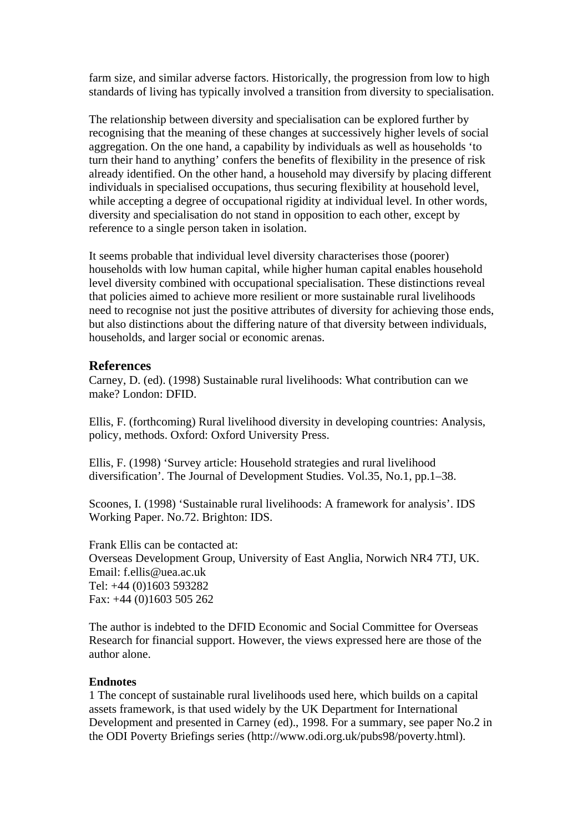farm size, and similar adverse factors. Historically, the progression from low to high standards of living has typically involved a transition from diversity to specialisation.

The relationship between diversity and specialisation can be explored further by recognising that the meaning of these changes at successively higher levels of social aggregation. On the one hand, a capability by individuals as well as households 'to turn their hand to anything' confers the benefits of flexibility in the presence of risk already identified. On the other hand, a household may diversify by placing different individuals in specialised occupations, thus securing flexibility at household level, while accepting a degree of occupational rigidity at individual level. In other words, diversity and specialisation do not stand in opposition to each other, except by reference to a single person taken in isolation.

It seems probable that individual level diversity characterises those (poorer) households with low human capital, while higher human capital enables household level diversity combined with occupational specialisation. These distinctions reveal that policies aimed to achieve more resilient or more sustainable rural livelihoods need to recognise not just the positive attributes of diversity for achieving those ends, but also distinctions about the differing nature of that diversity between individuals, households, and larger social or economic arenas.

#### **References**

Carney, D. (ed). (1998) Sustainable rural livelihoods: What contribution can we make? London: DFID.

Ellis, F. (forthcoming) Rural livelihood diversity in developing countries: Analysis, policy, methods. Oxford: Oxford University Press.

Ellis, F. (1998) 'Survey article: Household strategies and rural livelihood diversification'. The Journal of Development Studies. Vol.35, No.1, pp.1–38.

Scoones, I. (1998) 'Sustainable rural livelihoods: A framework for analysis'. IDS Working Paper. No.72. Brighton: IDS.

Frank Ellis can be contacted at: Overseas Development Group, University of East Anglia, Norwich NR4 7TJ, UK. Email: f.ellis@uea.ac.uk Tel: +44 (0)1603 593282 Fax: +44 (0)1603 505 262

The author is indebted to the DFID Economic and Social Committee for Overseas Research for financial support. However, the views expressed here are those of the author alone.

#### **Endnotes**

1 The concept of sustainable rural livelihoods used here, which builds on a capital assets framework, is that used widely by the UK Department for International Development and presented in Carney (ed)., 1998. For a summary, see paper No.2 in the ODI Poverty Briefings series (http://www.odi.org.uk/pubs98/poverty.html).